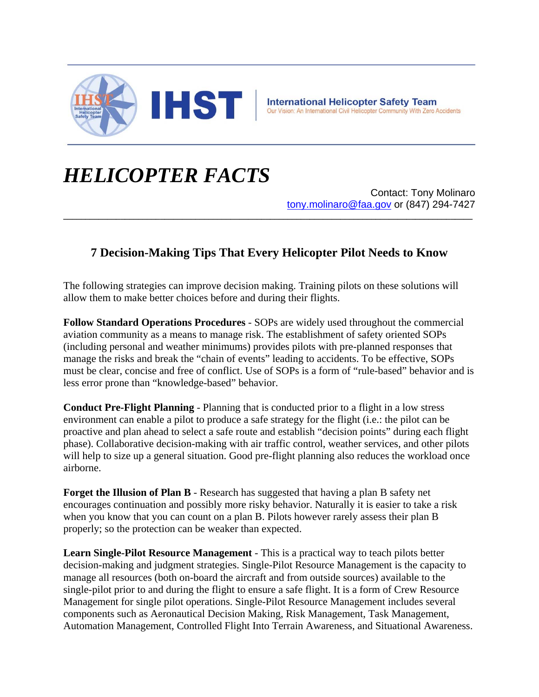

## *HELICOPTER FACTS*

Contact: Tony Molinaro tony.molinaro@faa.gov or (847) 294-7427

## **7 Decision-Making Tips That Every Helicopter Pilot Needs to Know**

**\_\_\_\_\_\_\_\_\_\_\_\_\_\_\_\_\_\_\_\_\_\_\_\_\_\_\_\_\_\_\_\_\_\_\_\_\_\_\_\_\_\_\_\_\_\_\_\_\_\_\_\_\_\_\_\_\_\_\_\_\_\_\_\_\_\_\_\_\_\_\_\_\_\_\_\_\_\_\_\_\_\_\_\_\_\_\_\_\_\_\_\_\_**

The following strategies can improve decision making. Training pilots on these solutions will allow them to make better choices before and during their flights.

**Follow Standard Operations Procedures** - SOPs are widely used throughout the commercial aviation community as a means to manage risk. The establishment of safety oriented SOPs (including personal and weather minimums) provides pilots with pre-planned responses that manage the risks and break the "chain of events" leading to accidents. To be effective, SOPs must be clear, concise and free of conflict. Use of SOPs is a form of "rule-based" behavior and is less error prone than "knowledge-based" behavior.

**Conduct Pre-Flight Planning** - Planning that is conducted prior to a flight in a low stress environment can enable a pilot to produce a safe strategy for the flight (i.e.: the pilot can be proactive and plan ahead to select a safe route and establish "decision points" during each flight phase). Collaborative decision-making with air traffic control, weather services, and other pilots will help to size up a general situation. Good pre-flight planning also reduces the workload once airborne.

**Forget the Illusion of Plan B** - Research has suggested that having a plan B safety net encourages continuation and possibly more risky behavior. Naturally it is easier to take a risk when you know that you can count on a plan B. Pilots however rarely assess their plan B properly; so the protection can be weaker than expected.

**Learn Single-Pilot Resource Management** - This is a practical way to teach pilots better decision-making and judgment strategies. Single-Pilot Resource Management is the capacity to manage all resources (both on-board the aircraft and from outside sources) available to the single-pilot prior to and during the flight to ensure a safe flight. It is a form of Crew Resource Management for single pilot operations. Single-Pilot Resource Management includes several components such as Aeronautical Decision Making, Risk Management, Task Management, Automation Management, Controlled Flight Into Terrain Awareness, and Situational Awareness.